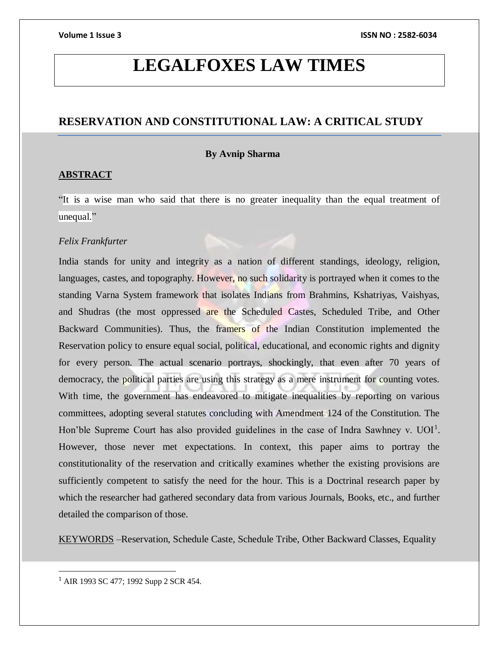# **LEGALFOXES LAW TIMES**

# **RESERVATION AND CONSTITUTIONAL LAW: A CRITICAL STUDY**

## **By Avnip Sharma**

# **ABSTRACT**

"It is a wise man who said that there is no greater inequality than the equal treatment of unequal."

# *[Felix Frankfurter](https://www.brainyquote.com/authors/felix-frankfurter-quotes)*

India stands for unity and integrity as a nation of different standings, ideology, religion, languages, castes, and topography. However, no such solidarity is portrayed when it comes to the standing Varna System framework that isolates Indians from Brahmins, Kshatriyas, Vaishyas, and Shudras (the most oppressed are the Scheduled Castes, Scheduled Tribe, and Other Backward Communities). Thus, the framers of the Indian Constitution implemented the Reservation policy to ensure equal social, political, educational, and economic rights and dignity for every person. The actual scenario portrays, shockingly, that even after 70 years of democracy, the political parties are using this strategy as a mere instrument for counting votes. With time, the government has endeavored to mitigate inequalities by reporting on various committees, adopting several statutes concluding with Amendment 124 of the Constitution. The Hon'ble Supreme Court has also provided guidelines in the case of Indra Sawhney v.  $UOI<sup>1</sup>$ . However, those never met expectations. In context, this paper aims to portray the constitutionality of the reservation and critically examines whether the existing provisions are sufficiently competent to satisfy the need for the hour. This is a Doctrinal research paper by which the researcher had gathered secondary data from various Journals, Books, etc., and further detailed the comparison of those.

KEYWORDS –Reservation, Schedule Caste, Schedule Tribe, Other Backward Classes, Equality

<sup>1</sup> AIR 1993 SC 477; 1992 Supp 2 SCR 454.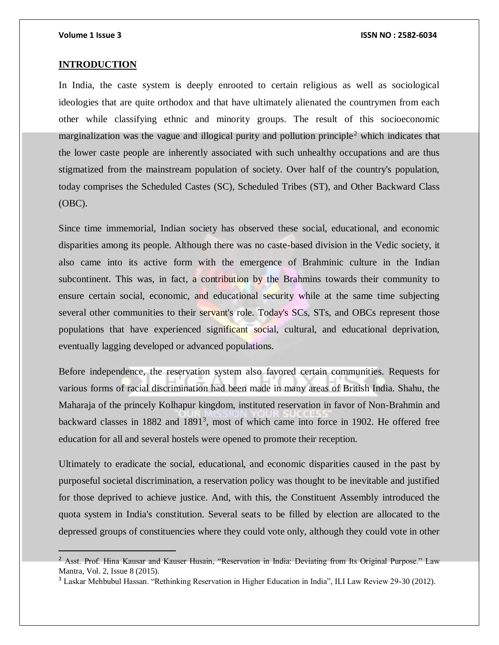$\overline{a}$ 

### **Volume 1 Issue 3 ISSN NO : 2582-6034**

### **INTRODUCTION**

In India, the caste system is deeply enrooted to certain religious as well as sociological ideologies that are quite orthodox and that have ultimately alienated the countrymen from each other while classifying ethnic and minority groups. The result of this socioeconomic marginalization was the vague and illogical purity and pollution principle<sup>2</sup> which indicates that the lower caste people are inherently associated with such unhealthy occupations and are thus stigmatized from the mainstream population of society. Over half of the country's population, today comprises the Scheduled Castes (SC), Scheduled Tribes (ST), and Other Backward Class (OBC).

Since time immemorial, Indian society has observed these social, educational, and economic disparities among its people. Although there was no caste-based division in the Vedic society, it also came into its active form with the emergence of Brahminic culture in the Indian subcontinent. This was, in fact, a contribution by the Brahmins towards their community to ensure certain social, economic, and educational security while at the same time subjecting several other communities to their servant's role. Today's SCs, STs, and OBCs represent those populations that have experienced significant social, cultural, and educational deprivation, eventually lagging developed or advanced populations.

Before independence, the reservation system also favored certain communities. Requests for various forms of racial discrimination had been made in many areas of British India. Shahu, the Maharaja of the princely Kolhapur kingdom, instituted reservation in favor of Non-Brahmin and backward classes in 1882 and 1891<sup>3</sup>, most of which came into force in 1902. He offered free education for all and several hostels were opened to promote their reception.

Ultimately to eradicate the social, educational, and economic disparities caused in the past by purposeful societal discrimination, a reservation policy was thought to be inevitable and justified for those deprived to achieve justice. And, with this, the Constituent Assembly introduced the quota system in India's constitution. Several seats to be filled by election are allocated to the depressed groups of constituencies where they could vote only, although they could vote in other

<sup>&</sup>lt;sup>2</sup> Asst. Prof. Hina Kausar and Kauser Husain, "Reservation in India: Deviating from Its Original Purpose." Law Mantra, Vol. 2, Issue 8 (2015).

<sup>3</sup> Laskar Mehbubul Hassan. "Rethinking Reservation in Higher Education in India", ILI Law Review 29-30 (2012).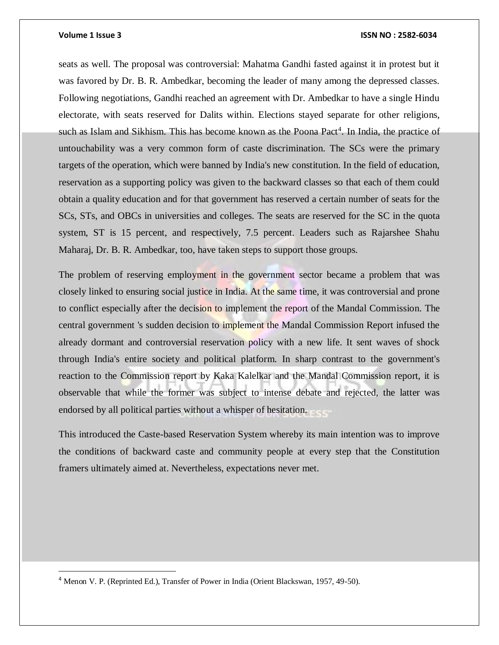$\overline{a}$ 

### **Volume 1 Issue 3 ISSN NO : 2582-6034**

seats as well. The proposal was controversial: Mahatma Gandhi fasted against it in protest but it was favored by Dr. B. R. Ambedkar, becoming the leader of many among the depressed classes. Following negotiations, Gandhi reached an agreement with Dr. Ambedkar to have a single Hindu electorate, with seats reserved for Dalits within. Elections stayed separate for other religions, such as Islam and Sikhism. This has become known as the Poona Pact<sup>4</sup>. In India, the practice of untouchability was a very common form of caste discrimination. The SCs were the primary targets of the operation, which were banned by India's new constitution. In the field of education, reservation as a supporting policy was given to the backward classes so that each of them could obtain a quality education and for that government has reserved a certain number of seats for the SCs, STs, and OBCs in universities and colleges. The seats are reserved for the SC in the quota system, ST is 15 percent, and respectively, 7.5 percent. Leaders such as Rajarshee Shahu Maharaj, Dr. B. R. Ambedkar, too, have taken steps to support those groups.

The problem of reserving employment in the government sector became a problem that was closely linked to ensuring social justice in India. At the same time, it was controversial and prone to conflict especially after the decision to implement the report of the Mandal Commission. The central government 's sudden decision to implement the Mandal Commission Report infused the already dormant and controversial reservation policy with a new life. It sent waves of shock through India's entire society and political platform. In sharp contrast to the government's reaction to the Commission report by Kaka Kalelkar and the Mandal Commission report, it is observable that while the former was subject to intense debate and rejected, the latter was endorsed by all political parties without a whisper of hesitation.

This introduced the Caste-based Reservation System whereby its main intention was to improve the conditions of backward caste and community people at every step that the Constitution framers ultimately aimed at. Nevertheless, expectations never met.

<sup>4</sup> Menon V. P. (Reprinted Ed.), Transfer of Power in India (Orient Blackswan, 1957, 49-50).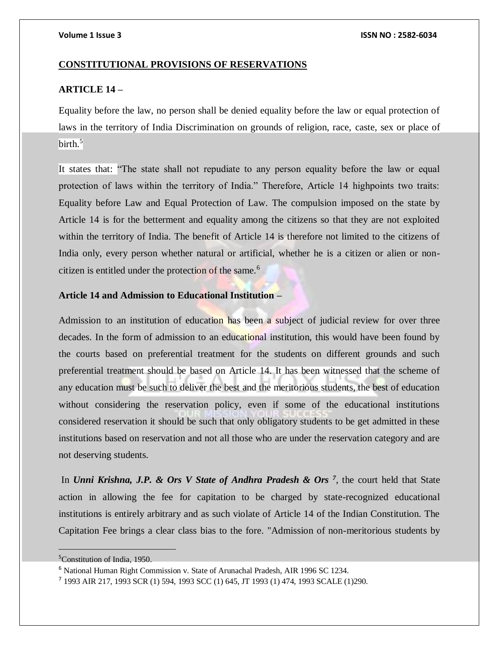### **CONSTITUTIONAL PROVISIONS OF RESERVATIONS**

# **ARTICLE 14 –**

Equality before the law, no person shall be denied equality before the law or equal protection of laws in the territory of India Discrimination on grounds of religion, race, caste, sex or place of birth. $5$ 

It states that: "The state shall not repudiate to any person equality before the law or equal protection of laws within the territory of India." Therefore, Article 14 highpoints two traits: Equality before Law and Equal Protection of Law. The compulsion imposed on the state by Article 14 is for the betterment and equality among the citizens so that they are not exploited within the territory of India. The benefit of Article 14 is therefore not limited to the citizens of India only, every person whether natural or artificial, whether he is a citizen or alien or noncitizen is entitled under the protection of the same.<sup>6</sup>

# **Article 14 and Admission to Educational Institution –**

Admission to an institution of education has been a subject of judicial review for over three decades. In the form of admission to an educational institution, this would have been found by the courts based on preferential treatment for the students on different grounds and such preferential treatment should be based on Article 14. It has been witnessed that the scheme of any education must be such to deliver the best and the meritorious students, the best of education without considering the reservation policy, even if some of the educational institutions considered reservation it should be such that only obligatory students to be get admitted in these institutions based on reservation and not all those who are under the reservation category and are not deserving students.

In *Unni Krishna, J.P. & Ors V State of Andhra Pradesh & Ors<sup>7</sup>, the court held that State* action in allowing the fee for capitation to be charged by state-recognized educational institutions is entirely arbitrary and as such violate of Article 14 of the Indian Constitution. The Capitation Fee brings a clear class bias to the fore. "Admission of non-meritorious students by

<sup>&</sup>lt;sup>5</sup>Constitution of India, 1950.

<sup>6</sup> National Human Right Commission v. State of Arunachal Pradesh, AIR 1996 SC 1234.

<sup>7</sup> 1993 AIR 217, 1993 SCR (1) 594, 1993 SCC (1) 645, JT 1993 (1) 474, 1993 SCALE (1)290.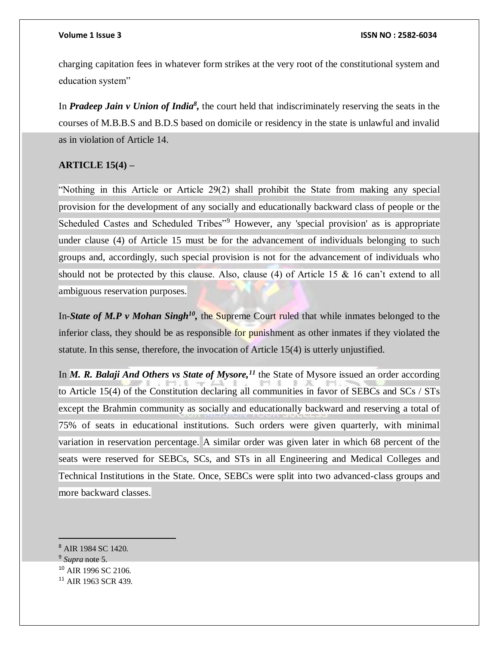charging capitation fees in whatever form strikes at the very root of the constitutional system and education system"

In *Pradeep Jain v Union of India<sup>8</sup>*, the court held that indiscriminately reserving the seats in the courses of M.B.B.S and B.D.S based on domicile or residency in the state is unlawful and invalid as in violation of Article 14.

# **ARTICLE 15(4) –**

"Nothing in this Article or Article 29(2) shall prohibit the State from making any special provision for the development of any socially and educationally backward class of people or the Scheduled Castes and Scheduled Tribes"<sup>9</sup> However, any 'special provision' as is appropriate under clause (4) of Article 15 must be for the advancement of individuals belonging to such groups and, accordingly, such special provision is not for the advancement of individuals who should not be protected by this clause. Also, clause (4) of Article 15 & 16 can't extend to all ambiguous reservation purposes.

In-State of M.P v Mohan Singh<sup>10</sup>, the Supreme Court ruled that while inmates belonged to the inferior class, they should be as responsible for punishment as other inmates if they violated the statute. In this sense, therefore, the invocation of Article 15(4) is utterly unjustified.

In *M. R. Balaji And Others vs State of Mysore,<sup>11</sup>* the State of Mysore issued an order according to Article 15(4) of the Constitution declaring all communities in favor of SEBCs and SCs / STs except the Brahmin community as socially and educationally backward and reserving a total of 75% of seats in educational institutions. Such orders were given quarterly, with minimal variation in reservation percentage. A similar order was given later in which 68 percent of the seats were reserved for SEBCs, SCs, and STs in all Engineering and Medical Colleges and Technical Institutions in the State. Once, SEBCs were split into two advanced-class groups and more backward classes.

 $\overline{a}$ 

 $10$  AIR 1996 SC 2106.

<sup>8</sup> AIR 1984 SC 1420.

<sup>9</sup> *Supra* note 5.

<sup>&</sup>lt;sup>11</sup> AIR 1963 SCR 439.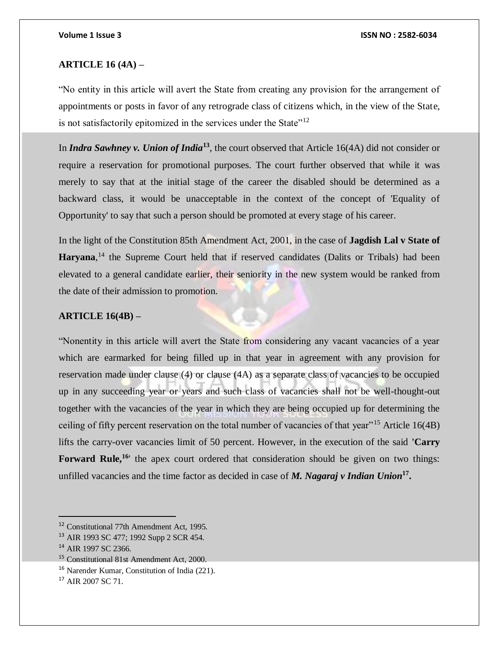## **ARTICLE 16 (4A) –**

"No entity in this article will avert the State from creating any provision for the arrangement of appointments or posts in favor of any retrograde class of citizens which, in the view of the State, is not satisfactorily epitomized in the services under the State"<sup>12</sup>

In *Indra Sawhney v. Union of India***<sup>13</sup>**, the court observed that Article 16(4A) did not consider or require a reservation for promotional purposes. The court further observed that while it was merely to say that at the initial stage of the career the disabled should be determined as a backward class, it would be unacceptable in the context of the concept of 'Equality of Opportunity' to say that such a person should be promoted at every stage of his career.

In the light of the Constitution 85th Amendment Act, 2001, in the case of **Jagdish Lal v State of**  Haryana,<sup>14</sup> the Supreme Court held that if reserved candidates (Dalits or Tribals) had been elevated to a general candidate earlier, their seniority in the new system would be ranked from the date of their admission to promotion.

# **ARTICLE 16(4B) –**

"Nonentity in this article will avert the State from considering any vacant vacancies of a year which are earmarked for being filled up in that year in agreement with any provision for reservation made under clause (4) or clause (4A) as a separate class of vacancies to be occupied up in any succeeding year or years and such class of vacancies shall not be well-thought-out together with the vacancies of the year in which they are being occupied up for determining the ceiling of fifty percent reservation on the total number of vacancies of that year"<sup>15</sup> Article 16(4B) lifts the carry-over vacancies limit of 50 percent. However, in the execution of the said **'Carry**  Forward Rule,<sup>16</sup>' the apex court ordered that consideration should be given on two things: unfilled vacancies and the time factor as decided in case of *M. Nagaraj v Indian Union***<sup>17</sup> .**

<sup>12</sup> Constitutional 77th Amendment Act, 1995.

<sup>13</sup> AIR 1993 SC 477; 1992 Supp 2 SCR 454.

<sup>14</sup> AIR 1997 SC 2366.

<sup>&</sup>lt;sup>15</sup> Constitutional 81st Amendment Act, 2000.

<sup>16</sup> Narender Kumar, Constitution of India (221).

<sup>&</sup>lt;sup>17</sup> AIR 2007 SC 71.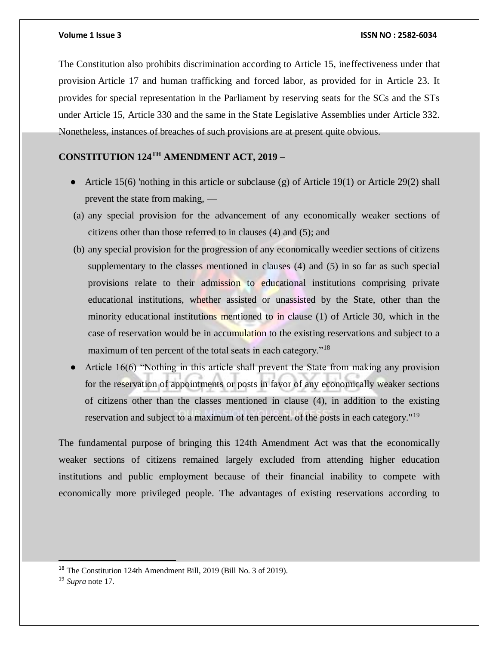The Constitution also prohibits discrimination according to Article 15, ineffectiveness under that provision Article 17 and human trafficking and forced labor, as provided for in Article 23. It provides for special representation in the Parliament by reserving seats for the SCs and the STs under Article 15, Article 330 and the same in the State Legislative Assemblies under Article 332. Nonetheless, instances of breaches of such provisions are at present quite obvious.

# **CONSTITUTION 124TH AMENDMENT ACT, 2019 –**

- Article 15(6) 'nothing in this article or subclause (g) of Article 19(1) or Article 29(2) shall prevent the state from making, —
- (a) any special provision for the advancement of any economically weaker sections of citizens other than those referred to in clauses (4) and (5); and
- (b) any special provision for the progression of any economically weedier sections of citizens supplementary to the classes mentioned in clauses (4) and (5) in so far as such special provisions relate to their admission to educational institutions comprising private educational institutions, whether assisted or unassisted by the State, other than the minority educational institutions mentioned to in clause (1) of Article 30, which in the case of reservation would be in accumulation to the existing reservations and subject to a maximum of ten percent of the total seats in each category."<sup>18</sup>
- Article  $16(6)$  "Nothing in this article shall prevent the State from making any provision for the reservation of appointments or posts in favor of any economically weaker sections of citizens other than the classes mentioned in clause (4), in addition to the existing reservation and subject to a maximum of ten percent. of the posts in each category."<sup>19</sup>

The fundamental purpose of bringing this 124th Amendment Act was that the economically weaker sections of citizens remained largely excluded from attending higher education institutions and public employment because of their financial inability to compete with economically more privileged people. The advantages of existing reservations according to

<sup>18</sup> The Constitution 124th Amendment Bill, 2019 (Bill No. 3 of 2019).

<sup>19</sup> *Supra* note 17.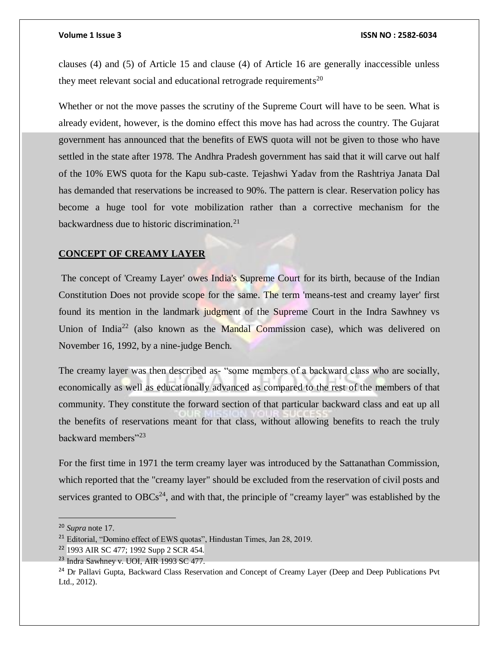clauses (4) and (5) of Article 15 and clause (4) of Article 16 are generally inaccessible unless they meet relevant social and educational retrograde requirements<sup>20</sup>

Whether or not the move passes the scrutiny of the Supreme Court will have to be seen. What is already evident, however, is the domino effect this move has had across the country. The Gujarat government has announced that the benefits of EWS quota will not be given to those who have settled in the state after 1978. The Andhra Pradesh government has said that it will carve out half of the 10% EWS quota for the Kapu sub-caste. Tejashwi Yadav from the Rashtriya Janata Dal has demanded that reservations be increased to 90%. The pattern is clear. Reservation policy has become a huge tool for vote mobilization rather than a corrective mechanism for the backwardness due to historic discrimination. $21$ 

### **CONCEPT OF CREAMY LAYER**

The concept of 'Creamy Layer' owes India's Supreme Court for its birth, because of the Indian Constitution Does not provide scope for the same. The term 'means-test and creamy layer' first found its mention in the landmark judgment of the Supreme Court in the Indra Sawhney vs Union of India<sup>22</sup> (also known as the Mandal Commission case), which was delivered on November 16, 1992, by a nine-judge Bench.

The creamy layer was then described as- "some members of a backward class who are socially, economically as well as educationally advanced as compared to the rest of the members of that community. They constitute the forward section of that particular backward class and eat up all the benefits of reservations meant for that class, without allowing benefits to reach the truly backward members"<sup>23</sup>

For the first time in 1971 the term creamy layer was introduced by the Sattanathan Commission, which reported that the "creamy layer" should be excluded from the reservation of civil posts and services granted to  $OBCs<sup>24</sup>$ , and with that, the principle of "creamy layer" was established by the

<sup>20</sup> *Supra* note 17.

<sup>&</sup>lt;sup>21</sup> Editorial, "Domino effect of EWS quotas", Hindustan Times, Jan 28, 2019.

<sup>22</sup> 1993 AIR SC 477; 1992 Supp 2 SCR 454.

<sup>&</sup>lt;sup>23</sup> Indra Sawhney v. UOI, AIR 1993 SC 477.

<sup>&</sup>lt;sup>24</sup> Dr Pallavi Gupta, Backward Class Reservation and Concept of Creamy Layer (Deep and Deep Publications Pvt Ltd., 2012).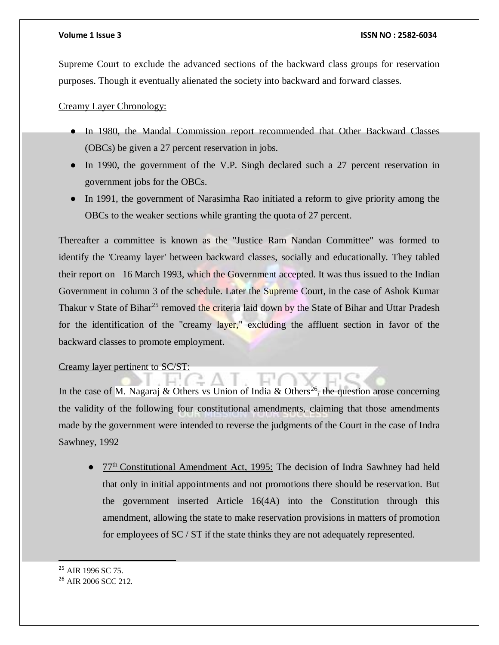Supreme Court to exclude the advanced sections of the backward class groups for reservation purposes. Though it eventually alienated the society into backward and forward classes.

Creamy Layer Chronology:

- In 1980, the Mandal Commission report recommended that Other Backward Classes (OBCs) be given a 27 percent reservation in jobs.
- In 1990, the government of the V.P. Singh declared such a 27 percent reservation in government jobs for the OBCs.
- In 1991, the government of Narasimha Rao initiated a reform to give priority among the OBCs to the weaker sections while granting the quota of 27 percent.

Thereafter a committee is known as the "Justice Ram Nandan Committee" was formed to identify the 'Creamy layer' between backward classes, socially and educationally. They tabled their report on 16 March 1993, which the Government accepted. It was thus issued to the Indian Government in column 3 of the schedule. Later the Supreme Court, in the case of Ashok Kumar Thakur v State of Bihar<sup>25</sup> removed the criteria laid down by the State of Bihar and Uttar Pradesh for the identification of the "creamy layer," excluding the affluent section in favor of the backward classes to promote employment.

## Creamy layer pertinent to SC/ST:

In the case of M. Nagaraj & Others vs Union of India & Others<sup>26</sup>, the question arose concerning the validity of the following four constitutional amendments, claiming that those amendments made by the government were intended to reverse the judgments of the Court in the case of Indra Sawhney, 1992

77<sup>th</sup> Constitutional Amendment Act, 1995: The decision of Indra Sawhney had held that only in initial appointments and not promotions there should be reservation. But the government inserted Article 16(4A) into the Constitution through this amendment, allowing the state to make reservation provisions in matters of promotion for employees of  $SC / ST$  if the state thinks they are not adequately represented.

 $\overline{a}$ 

### <sup>26</sup> AIR 2006 SCC 212.

<sup>&</sup>lt;sup>25</sup> AIR 1996 SC 75.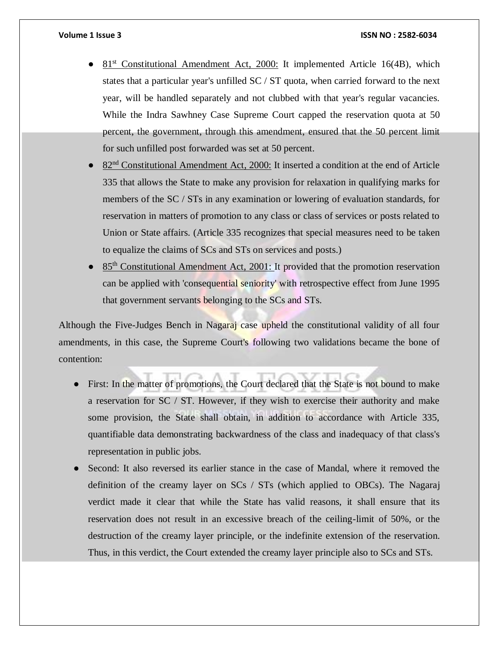- $81<sup>st</sup>$  Constitutional Amendment Act, 2000: It implemented Article 16(4B), which states that a particular year's unfilled SC / ST quota, when carried forward to the next year, will be handled separately and not clubbed with that year's regular vacancies. While the Indra Sawhney Case Supreme Court capped the reservation quota at 50 percent, the government, through this amendment, ensured that the 50 percent limit for such unfilled post forwarded was set at 50 percent.
- 82<sup>nd</sup> Constitutional Amendment Act, 2000: It inserted a condition at the end of Article 335 that allows the State to make any provision for relaxation in qualifying marks for members of the SC / STs in any examination or lowering of evaluation standards, for reservation in matters of promotion to any class or class of services or posts related to Union or State affairs. (Article 335 recognizes that special measures need to be taken to equalize the claims of SCs and STs on services and posts.)
- 85<sup>th</sup> Constitutional Amendment Act, 2001: It provided that the promotion reservation can be applied with 'consequential seniority' with retrospective effect from June 1995 that government servants belonging to the SCs and STs.

Although the Five-Judges Bench in Nagaraj case upheld the constitutional validity of all four amendments, in this case, the Supreme Court's following two validations became the bone of contention:

- First: In the matter of promotions, the Court declared that the State is not bound to make a reservation for SC / ST. However, if they wish to exercise their authority and make some provision, the State shall obtain, in addition to accordance with Article 335, quantifiable data demonstrating backwardness of the class and inadequacy of that class's representation in public jobs.
- Second: It also reversed its earlier stance in the case of Mandal, where it removed the definition of the creamy layer on SCs / STs (which applied to OBCs). The Nagaraj verdict made it clear that while the State has valid reasons, it shall ensure that its reservation does not result in an excessive breach of the ceiling-limit of 50%, or the destruction of the creamy layer principle, or the indefinite extension of the reservation. Thus, in this verdict, the Court extended the creamy layer principle also to SCs and STs.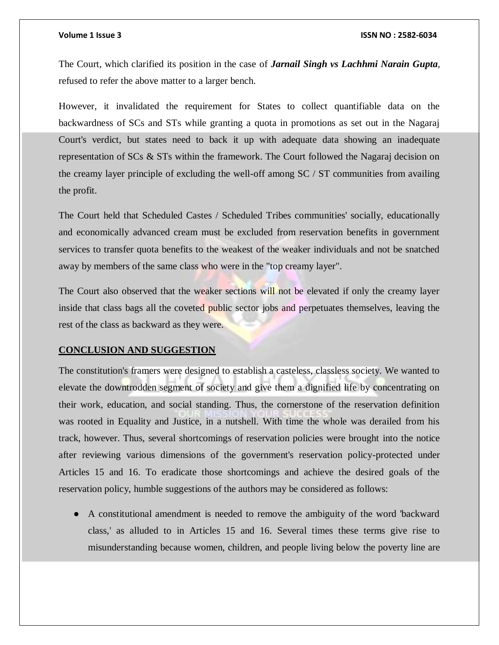The Court, which clarified its position in the case of *Jarnail Singh vs Lachhmi Narain Gupta*, refused to refer the above matter to a larger bench.

However, it invalidated the requirement for States to collect quantifiable data on the backwardness of SCs and STs while granting a quota in promotions as set out in the Nagaraj Court's verdict, but states need to back it up with adequate data showing an inadequate representation of SCs & STs within the framework. The Court followed the Nagaraj decision on the creamy layer principle of excluding the well-off among SC / ST communities from availing the profit.

The Court held that Scheduled Castes / Scheduled Tribes communities' socially, educationally and economically advanced cream must be excluded from reservation benefits in government services to transfer quota benefits to the weakest of the weaker individuals and not be snatched away by members of the same class who were in the "top creamy layer".

The Court also observed that the weaker sections will not be elevated if only the creamy layer inside that class bags all the coveted public sector jobs and perpetuates themselves, leaving the rest of the class as backward as they were.

## **CONCLUSION AND SUGGESTION**

The constitution's framers were designed to establish a casteless, classless society. We wanted to elevate the downtrodden segment of society and give them a dignified life by concentrating on their work, education, and social standing. Thus, the cornerstone of the reservation definition was rooted in Equality and Justice, in a nutshell. With time the whole was derailed from his track, however. Thus, several shortcomings of reservation policies were brought into the notice after reviewing various dimensions of the government's reservation policy-protected under Articles 15 and 16. To eradicate those shortcomings and achieve the desired goals of the reservation policy, humble suggestions of the authors may be considered as follows:

● A constitutional amendment is needed to remove the ambiguity of the word 'backward class,' as alluded to in Articles 15 and 16. Several times these terms give rise to misunderstanding because women, children, and people living below the poverty line are